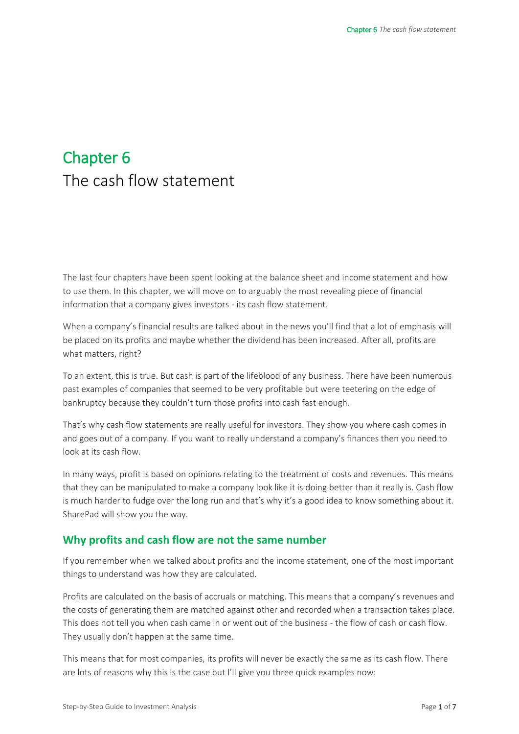# Chapter 6 The cash flow statement

The last four chapters have been spent looking at the balance sheet and income statement and how to use them. In this chapter, we will move on to arguably the most revealing piece of financial information that a company gives investors - its cash flow statement.

When a company's financial results are talked about in the news you'll find that a lot of emphasis will be placed on its profits and maybe whether the dividend has been increased. After all, profits are what matters, right?

To an extent, this is true. But cash is part of the lifeblood of any business. There have been numerous past examples of companies that seemed to be very profitable but were teetering on the edge of bankruptcy because they couldn't turn those profits into cash fast enough.

That's why cash flow statements are really useful for investors. They show you where cash comes in and goes out of a company. If you want to really understand a company's finances then you need to look at its cash flow.

In many ways, profit is based on opinions relating to the treatment of costs and revenues. This means that they can be manipulated to make a company look like it is doing better than it really is. Cash flow is much harder to fudge over the long run and that's why it's a good idea to know something about it. SharePad will show you the way.

## **Why profits and cash flow are not the same number**

If you remember when we talked about profits and the income statement, one of the most important things to understand was how they are calculated.

Profits are calculated on the basis of accruals or matching. This means that a company's revenues and the costs of generating them are matched against other and recorded when a transaction takes place. This does not tell you when cash came in or went out of the business - the flow of cash or cash flow. They usually don't happen at the same time.

This means that for most companies, its profits will never be exactly the same as its cash flow. There are lots of reasons why this is the case but I'll give you three quick examples now: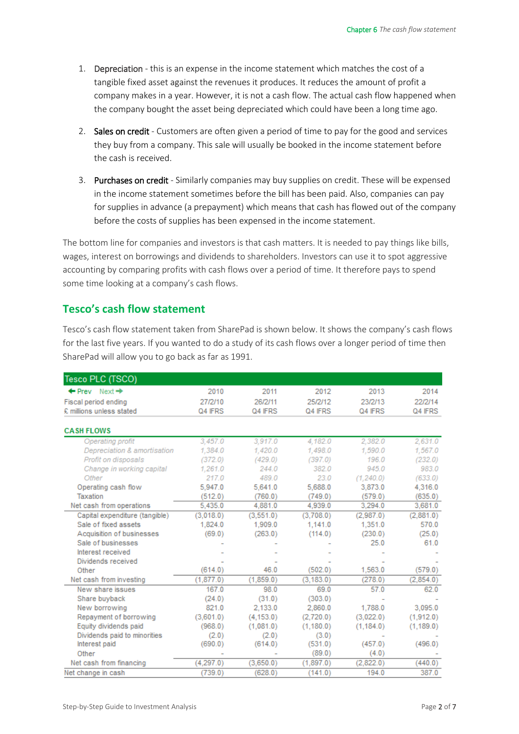- 1. Depreciation this is an expense in the income statement which matches the cost of a tangible fixed asset against the revenues it produces. It reduces the amount of profit a company makes in a year. However, it is not a cash flow. The actual cash flow happened when the company bought the asset being depreciated which could have been a long time ago.
- 2. Sales on credit Customers are often given a period of time to pay for the good and services they buy from a company. This sale will usually be booked in the income statement before the cash is received.
- 3. Purchases on credit Similarly companies may buy supplies on credit. These will be expensed in the income statement sometimes before the bill has been paid. Also, companies can pay for supplies in advance (a prepayment) which means that cash has flowed out of the company before the costs of supplies has been expensed in the income statement.

The bottom line for companies and investors is that cash matters. It is needed to pay things like bills, wages, interest on borrowings and dividends to shareholders. Investors can use it to spot aggressive accounting by comparing profits with cash flows over a period of time. It therefore pays to spend some time looking at a company's cash flows.

# **Tesco's cash flow statement**

Tesco's cash flow statement taken from SharePad is shown below. It shows the company's cash flows for the last five years. If you wanted to do a study of its cash flows over a longer period of time then SharePad will allow you to go back as far as 1991.

| Tesco PLC (TSCO)                     |           |            |            |            |            |
|--------------------------------------|-----------|------------|------------|------------|------------|
| $\leftarrow$ Prev Next $\rightarrow$ | 2010      | 2011       | 2012       | 2013       | 2014       |
| Fiscal period ending                 | 27/2/10   | 26/2/11    | 25/2/12    | 23/2/13    | 22/2/14    |
| £ millions unless stated             | Q4 IFRS   | Q4 IFRS    | Q4 IFRS    | Q4 IFRS    | Q4 IFRS    |
|                                      |           |            |            |            |            |
| <b>CASH FLOWS</b>                    |           |            |            |            |            |
| Operating profit                     | 3,457.0   | 3,917.0    | 4,182.0    | 2,382.0    | 2,631.0    |
| Depreciation & amortisation          | 1.384.0   | 1,420.0    | 1,498.0    | 1,590.0    | 1,567.0    |
| Profit on disposals                  | (372.0)   | (429.0)    | (397.0)    | 196.0      | (232.0)    |
| Change in working capital            | 1.261.0   | 244.0      | 382.0      | 945.0      | 983.0      |
| Other                                | 217.0     | 489.0      | 23.0       | (1, 240.0) | (633.0)    |
| Operating cash flow                  | 5,947.0   | 5,641.0    | 5,688.0    | 3,873.0    | 4,316.0    |
| Taxation                             | (512.0)   | (760.0)    | (749.0)    | (579.0)    | (635.0)    |
| Net cash from operations             | 5,435.0   | 4,881.0    | 4.939.0    | 3.294.0    | 3,681.0    |
| Capital expenditure (tangible)       | (3.018.0) | (3,551.0)  | (3.708.0)  | (2.987.0)  | (2.881.0)  |
| Sale of fixed assets                 | 1,824.0   | 1,909.0    | 1.141.0    | 1,351.0    | 570.0      |
| Acquisition of businesses            | (69.0)    | (263.0)    | (114.0)    | (230.0)    | (25.0)     |
| Sale of businesses                   |           |            |            | 25.0       | 61.0       |
| Interest received                    |           |            |            |            |            |
| Dividends received                   |           |            |            |            |            |
| Other                                | (614.0)   | 46.0       | (502.0)    | 1,563.0    | (579.0)    |
| Net cash from investing              | (1,877.0) | (1,859.0)  | (3, 183.0) | (278.0)    | (2,854.0)  |
| New share issues                     | 167.0     | 98.0       | 69.0       | 57.0       | 62.0       |
| Share buyback                        | (24.0)    | (31.0)     | (303.0)    |            |            |
| New borrowing                        | 821.0     | 2,133.0    | 2,860.0    | 1,788.0    | 3,095.0    |
| Repayment of borrowing               | (3,601.0) | (4, 153.0) | (2,720.0)  | (3,022.0)  | (1,912.0)  |
| Equity dividends paid                | (968.0)   | (1,081.0)  | (1, 180.0) | (1, 184.0) | (1, 189.0) |
| Dividends paid to minorities         | (2.0)     | (2.0)      | (3.0)      |            |            |
| Interest paid                        | (690.0)   | (614.0)    | (531.0)    | (457.0)    | (496.0)    |
| Other                                |           |            | (89.0)     | (4.0)      |            |
| Net cash from financing              | (4,297.0) | (3,650.0)  | (1,897.0)  | (2.822.0)  | (440.0)    |
| Net change in cash                   | (739.0)   | (628.0)    | (141.0)    | 194.0      | 387.0      |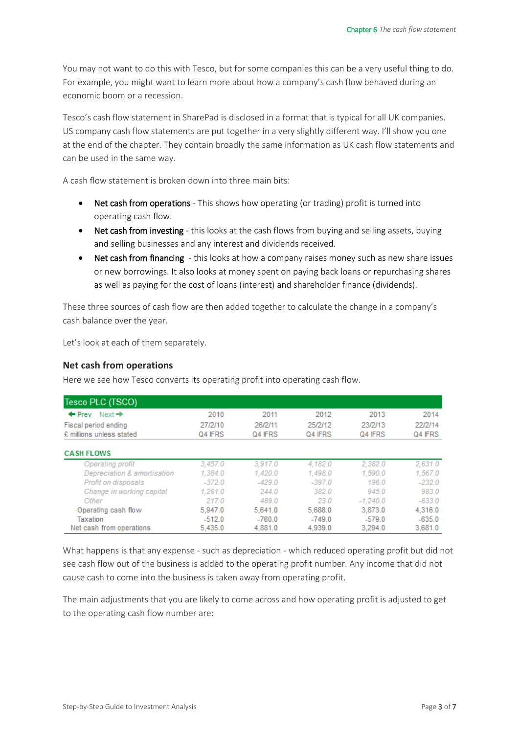You may not want to do this with Tesco, but for some companies this can be a very useful thing to do. For example, you might want to learn more about how a company's cash flow behaved during an economic boom or a recession.

Tesco's cash flow statement in SharePad is disclosed in a format that is typical for all UK companies. US company cash flow statements are put together in a very slightly different way. I'll show you one at the end of the chapter. They contain broadly the same information as UK cash flow statements and can be used in the same way.

A cash flow statement is broken down into three main bits:

- Net cash from operations This shows how operating (or trading) profit is turned into operating cash flow.
- Net cash from investing this looks at the cash flows from buying and selling assets, buying and selling businesses and any interest and dividends received.
- Net cash from financing this looks at how a company raises money such as new share issues or new borrowings. It also looks at money spent on paying back loans or repurchasing shares as well as paying for the cost of loans (interest) and shareholder finance (dividends).

These three sources of cash flow are then added together to calculate the change in a company's cash balance over the year.

Let's look at each of them separately.

#### **Net cash from operations**

Here we see how Tesco converts its operating profit into operating cash flow.

| Tesco PLC (TSCO)                        |          |          |          |            |          |
|-----------------------------------------|----------|----------|----------|------------|----------|
| Next $\rightarrow$<br>$\leftarrow$ Prev | 2010     | 2011     | 2012     | 2013       | 2014     |
| Fiscal period ending                    | 27/2/10  | 26/2/11  | 25/2/12  | 23/2/13    | 22/2/14  |
| £ millions unless stated                | Q4 IFRS  | Q4 IFRS  | Q4 IFRS  | Q4 IFRS    | Q4 IFRS  |
| <b>CASH FLOWS</b>                       |          |          |          |            |          |
| Operating profit                        | 3,457.0  | 3.917.0  | 4,182.0  | 2,382.0    | 2,631.0  |
| Depreciation & amortisation             | 1,384.0  | 1,420.0  | 1,498.0  | 1,590.0    | 1,567.0  |
| Profit on disposals                     | $-372.0$ | $-429.0$ | $-397.0$ | 196.0      | $-232.0$ |
| Change in working capital               | 1,261.0  | 244.0    | 382.0    | 945.0      | 983.0    |
| Other                                   | 217.0    | 489.0    | 23.0     | $-1.240.0$ | $-633.0$ |
| Operating cash flow                     | 5.947.0  | 5,641.0  | 5,688.0  | 3,873.0    | 4,316.0  |
| Taxation                                | $-512.0$ | $-760.0$ | $-749.0$ | $-579.0$   | $-635.0$ |
| Net cash from operations                | 5,435.0  | 4,881.0  | 4,939.0  | 3,294.0    | 3,681.0  |

What happens is that any expense - such as depreciation - which reduced operating profit but did not see cash flow out of the business is added to the operating profit number. Any income that did not cause cash to come into the business is taken away from operating profit.

The main adjustments that you are likely to come across and how operating profit is adjusted to get to the operating cash flow number are: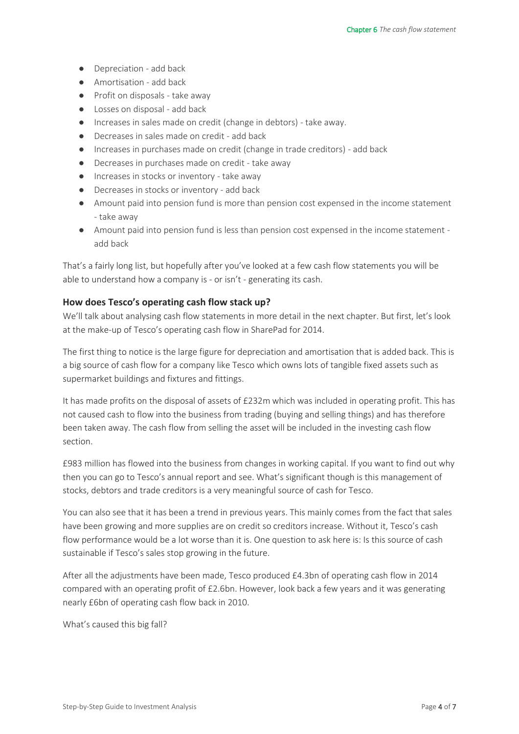- Depreciation add back
- Amortisation add back
- Profit on disposals take away
- Losses on disposal add back
- Increases in sales made on credit (change in debtors) take away.
- Decreases in sales made on credit add back
- $\bullet$  Increases in purchases made on credit (change in trade creditors) add back
- Decreases in purchases made on credit take away
- Increases in stocks or inventory take away
- Decreases in stocks or inventory add back
- Amount paid into pension fund is more than pension cost expensed in the income statement - take away
- Amount paid into pension fund is less than pension cost expensed in the income statement add back

That's a fairly long list, but hopefully after you've looked at a few cash flow statements you will be able to understand how a company is - or isn't - generating its cash.

#### **How does Tesco's operating cash flow stack up?**

We'll talk about analysing cash flow statements in more detail in the next chapter. But first, let's look at the make-up of Tesco's operating cash flow in SharePad for 2014.

The first thing to notice is the large figure for depreciation and amortisation that is added back. This is a big source of cash flow for a company like Tesco which owns lots of tangible fixed assets such as supermarket buildings and fixtures and fittings.

It has made profits on the disposal of assets of £232m which was included in operating profit. This has not caused cash to flow into the business from trading (buying and selling things) and has therefore been taken away. The cash flow from selling the asset will be included in the investing cash flow section.

£983 million has flowed into the business from changes in working capital. If you want to find out why then you can go to Tesco's annual report and see. What's significant though is this management of stocks, debtors and trade creditors is a very meaningful source of cash for Tesco.

You can also see that it has been a trend in previous years. This mainly comes from the fact that sales have been growing and more supplies are on credit so creditors increase. Without it, Tesco's cash flow performance would be a lot worse than it is. One question to ask here is: Is this source of cash sustainable if Tesco's sales stop growing in the future.

After all the adjustments have been made, Tesco produced £4.3bn of operating cash flow in 2014 compared with an operating profit of £2.6bn. However, look back a few years and it was generating nearly £6bn of operating cash flow back in 2010.

What's caused this big fall?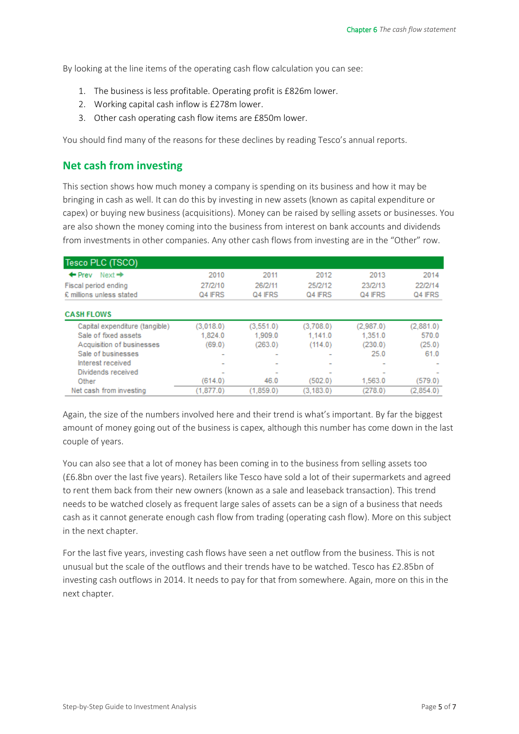By looking at the line items of the operating cash flow calculation you can see:

- 1. The business is less profitable. Operating profit is £826m lower.
- 2. Working capital cash inflow is £278m lower.
- 3. Other cash operating cash flow items are £850m lower.

You should find many of the reasons for these declines by reading Tesco's annual reports.

## **Net cash from investing**

This section shows how much money a company is spending on its business and how it may be bringing in cash as well. It can do this by investing in new assets (known as capital expenditure or capex) or buying new business (acquisitions). Money can be raised by selling assets or businesses. You are also shown the money coming into the business from interest on bank accounts and dividends from investments in other companies. Any other cash flows from investing are in the "Other" row.

| Tesco PLC (TSCO)                        |                          |           |                          |                          |           |
|-----------------------------------------|--------------------------|-----------|--------------------------|--------------------------|-----------|
| Next $\rightarrow$<br>$\leftarrow$ Prev | 2010                     | 2011      | 2012                     | 2013                     | 2014      |
| Fiscal period ending                    | 27/2/10                  | 26/2/11   | 25/2/12                  | 23/2/13                  | 22/2/14   |
| £ millions unless stated                | Q4 IFRS                  | Q4 IFRS   | Q4 IFRS                  | Q4 IFRS                  | Q4 IFRS   |
| <b>CASH FLOWS</b>                       |                          |           |                          |                          |           |
| Capital expenditure (tangible)          | (3,018.0)                | (3,551.0) | (3,708.0)                | (2,987.0)                | (2,881.0) |
| Sale of fixed assets                    | 1,824.0                  | 1,909.0   | 1,141.0                  | 1,351.0                  | 570.0     |
| Acquisition of businesses               | (69.0)                   | (263.0)   | (114.0)                  | (230.0)                  | (25.0)    |
| Sale of businesses                      | $\overline{\phantom{a}}$ |           | $\sim$                   | 25.0                     | 61.0      |
| Interest received                       | $\overline{\phantom{a}}$ |           | $\overline{\phantom{a}}$ | $\overline{\phantom{a}}$ |           |
| Dividends received                      | $\overline{\phantom{a}}$ |           |                          |                          |           |
| Other                                   | (614.0)                  | 46.0      | (502.0)                  | 1,563.0                  | (579.0)   |
| Net cash from investing                 | (1.877.0)                | (1.859.0) | (3.183.0)                | (278.0)                  | (2.854.0) |

Again, the size of the numbers involved here and their trend is what's important. By far the biggest amount of money going out of the business is capex, although this number has come down in the last couple of years.

You can also see that a lot of money has been coming in to the business from selling assets too (£6.8bn over the last five years). Retailers like Tesco have sold a lot of their supermarkets and agreed to rent them back from their new owners (known as a sale and leaseback transaction). This trend needs to be watched closely as frequent large sales of assets can be a sign of a business that needs cash as it cannot generate enough cash flow from trading (operating cash flow). More on this subject in the next chapter.

For the last five years, investing cash flows have seen a net outflow from the business. This is not unusual but the scale of the outflows and their trends have to be watched. Tesco has £2.85bn of investing cash outflows in 2014. It needs to pay for that from somewhere. Again, more on this in the next chapter.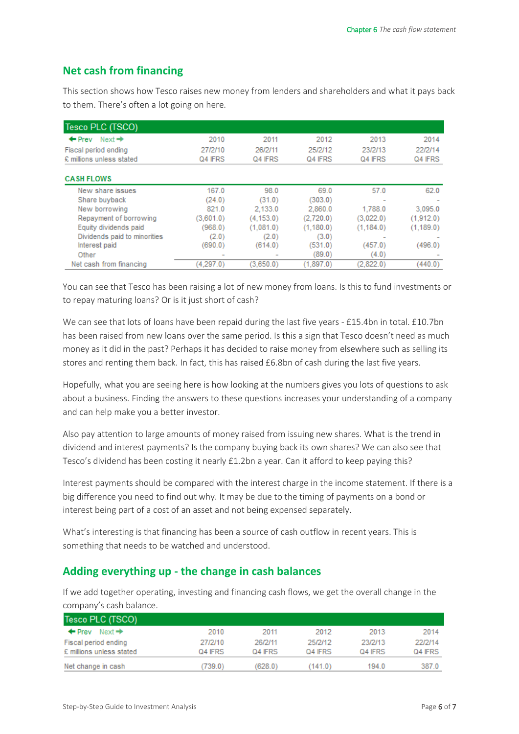# **Net cash from financing**

This section shows how Tesco raises new money from lenders and shareholders and what it pays back to them. There's often a lot going on here.

| Tesco PLC (TSCO)                        |                          |            |           |                          |            |
|-----------------------------------------|--------------------------|------------|-----------|--------------------------|------------|
| Next $\rightarrow$<br>$\leftarrow$ Prev | 2010                     | 2011       | 2012      | 2013                     | 2014       |
| Fiscal period ending                    | 27/2/10                  | 26/2/11    | 25/2/12   | 23/2/13                  | 22/2/14    |
| £ millions unless stated                | Q4 IFRS                  | Q4 IFRS    | Q4 IFRS   | Q4 IFRS                  | Q4 IFRS    |
| <b>CASH FLOWS</b>                       |                          |            |           |                          |            |
| New share issues                        | 167.0                    | 98.0       | 69.0      | 57.0                     | 62.0       |
| Share buyback                           | (24.0)                   | (31.0)     | (303.0)   |                          |            |
| New borrowing                           | 821.0                    | 2.133.0    | 2.860.0   | 1.788.0                  | 3,095.0    |
| Repayment of borrowing                  | (3,601.0)                | (4, 153.0) | (2,720.0) | (3,022.0)                | (1,912.0)  |
| Equity dividends paid                   | (968.0)                  | (1,081.0)  | (1,180.0) | (1, 184.0)               | (1, 189.0) |
| Dividends paid to minorities            | (2.0)                    | (2.0)      | (3.0)     | $\overline{\phantom{a}}$ |            |
| Interest paid                           | (690.0)                  | (614.0)    | (531.0)   | (457.0)                  | (496.0)    |
| Other                                   | $\overline{\phantom{a}}$ |            | (89.0)    | (4.0)                    |            |
| Net cash from financing                 | (4,297.0)                | (3,650.0)  | (1,897.0) | (2,822.0)                | (440.0)    |

You can see that Tesco has been raising a lot of new money from loans. Is this to fund investments or to repay maturing loans? Or is it just short of cash?

We can see that lots of loans have been repaid during the last five years - £15.4bn in total. £10.7bn has been raised from new loans over the same period. Is this a sign that Tesco doesn't need as much money as it did in the past? Perhaps it has decided to raise money from elsewhere such as selling its stores and renting them back. In fact, this has raised £6.8bn of cash during the last five years.

Hopefully, what you are seeing here is how looking at the numbers gives you lots of questions to ask about a business. Finding the answers to these questions increases your understanding of a company and can help make you a better investor.

Also pay attention to large amounts of money raised from issuing new shares. What is the trend in dividend and interest payments? Is the company buying back its own shares? We can also see that Tesco's dividend has been costing it nearly £1.2bn a year. Can it afford to keep paying this?

Interest payments should be compared with the interest charge in the income statement. If there is a big difference you need to find out why. It may be due to the timing of payments on a bond or interest being part of a cost of an asset and not being expensed separately.

What's interesting is that financing has been a source of cash outflow in recent years. This is something that needs to be watched and understood.

# **Adding everything up - the change in cash balances**

If we add together operating, investing and financing cash flows, we get the overall change in the company's cash balance.

| Tesco PLC (TSCO)                        |         |         |         |         |         |
|-----------------------------------------|---------|---------|---------|---------|---------|
| $\leftarrow$ Prev<br>Next $\Rightarrow$ | 2010    | 2011    | 2012    | 2013    | 2014    |
| Fiscal period ending                    | 27/2/10 | 26/2/11 | 25/2/12 | 23/2/13 | 22/2/14 |
| £ millions unless stated                | Q4 IFRS | Q4 IFRS | Q4 IFRS | Q4 IFRS | Q4 IFRS |
| Net change in cash                      | 739.0)  | (628.0) | (141.0) | 194.0   | 387.0   |